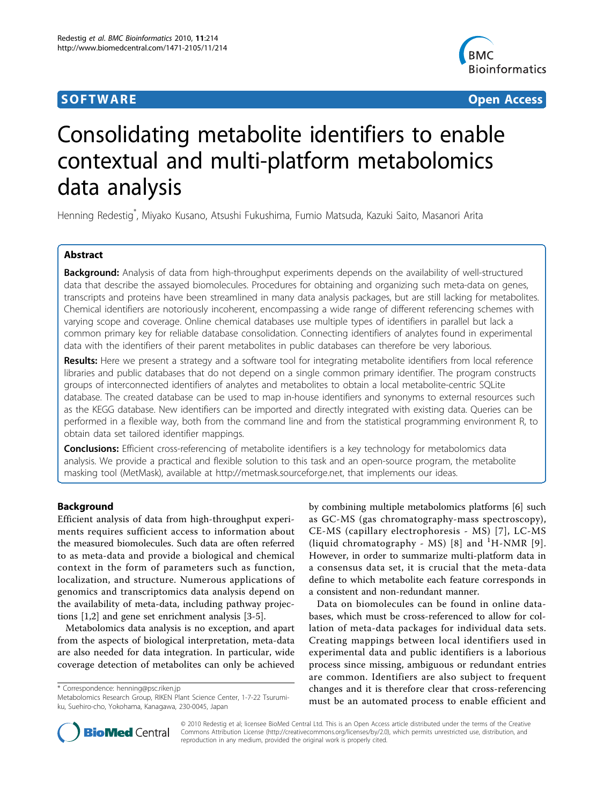# **SOFTWARE SOFTWARE** *CONSERVERSE EXECUTIVE EXECUTIVE EXECUTIVE EXECUTIVE EXECUTIVE EXECUTIVE EXECUTIVE EXECUTIVE EXECUTIVE EXECUTIVE EXECUTIVE EXECUTIVE EXECUTIVE EXECUTIVE EXECUTIVE EXECUTIVE EXECUTIVE EXECUTIVE EXECUT*



# Consolidating metabolite identifiers to enable contextual and multi-platform metabolomics data analysis

Henning Redestig\* , Miyako Kusano, Atsushi Fukushima, Fumio Matsuda, Kazuki Saito, Masanori Arita

# Abstract

**Background:** Analysis of data from high-throughput experiments depends on the availability of well-structured data that describe the assayed biomolecules. Procedures for obtaining and organizing such meta-data on genes, transcripts and proteins have been streamlined in many data analysis packages, but are still lacking for metabolites. Chemical identifiers are notoriously incoherent, encompassing a wide range of different referencing schemes with varying scope and coverage. Online chemical databases use multiple types of identifiers in parallel but lack a common primary key for reliable database consolidation. Connecting identifiers of analytes found in experimental data with the identifiers of their parent metabolites in public databases can therefore be very laborious.

Results: Here we present a strategy and a software tool for integrating metabolite identifiers from local reference libraries and public databases that do not depend on a single common primary identifier. The program constructs groups of interconnected identifiers of analytes and metabolites to obtain a local metabolite-centric SQLite database. The created database can be used to map in-house identifiers and synonyms to external resources such as the KEGG database. New identifiers can be imported and directly integrated with existing data. Queries can be performed in a flexible way, both from the command line and from the statistical programming environment R, to obtain data set tailored identifier mappings.

**Conclusions:** Efficient cross-referencing of metabolite identifiers is a key technology for metabolomics data analysis. We provide a practical and flexible solution to this task and an open-source program, the metabolite masking tool (MetMask), available at [http://metmask.sourceforge.net,](http://metmask.sourceforge.net) that implements our ideas.

# Background

Efficient analysis of data from high-throughput experiments requires sufficient access to information about the measured biomolecules. Such data are often referred to as meta-data and provide a biological and chemical context in the form of parameters such as function, localization, and structure. Numerous applications of genomics and transcriptomics data analysis depend on the availability of meta-data, including pathway projections [\[1,2\]](#page-9-0) and gene set enrichment analysis [[3-5\]](#page-9-0).

Metabolomics data analysis is no exception, and apart from the aspects of biological interpretation, meta-data are also needed for data integration. In particular, wide coverage detection of metabolites can only be achieved

\* Correspondence: [henning@psc.riken.jp](mailto:henning@psc.riken.jp)

by combining multiple metabolomics platforms [\[6](#page-9-0)] such as GC-MS (gas chromatography-mass spectroscopy), CE-MS (capillary electrophoresis - MS) [[7](#page-9-0)], LC-MS (liquid chromatography - MS) [[8](#page-9-0)] and  $^1$ H-NMR [[9\]](#page-9-0). However, in order to summarize multi-platform data in a consensus data set, it is crucial that the meta-data define to which metabolite each feature corresponds in a consistent and non-redundant manner.

Data on biomolecules can be found in online databases, which must be cross-referenced to allow for collation of meta-data packages for individual data sets. Creating mappings between local identifiers used in experimental data and public identifiers is a laborious process since missing, ambiguous or redundant entries are common. Identifiers are also subject to frequent changes and it is therefore clear that cross-referencing must be an automated process to enable efficient and



© 2010 Redestig et al; licensee BioMed Central Ltd. This is an Open Access article distributed under the terms of the Creative Commons Attribution License [\(http://creativecommons.org/licenses/by/2.0](http://creativecommons.org/licenses/by/2.0)), which permits unrestricted use, distribution, and reproduction in any medium, provided the original work is properly cited.

Metabolomics Research Group, RIKEN Plant Science Center, 1-7-22 Tsurumiku, Suehiro-cho, Yokohama, Kanagawa, 230-0045, Japan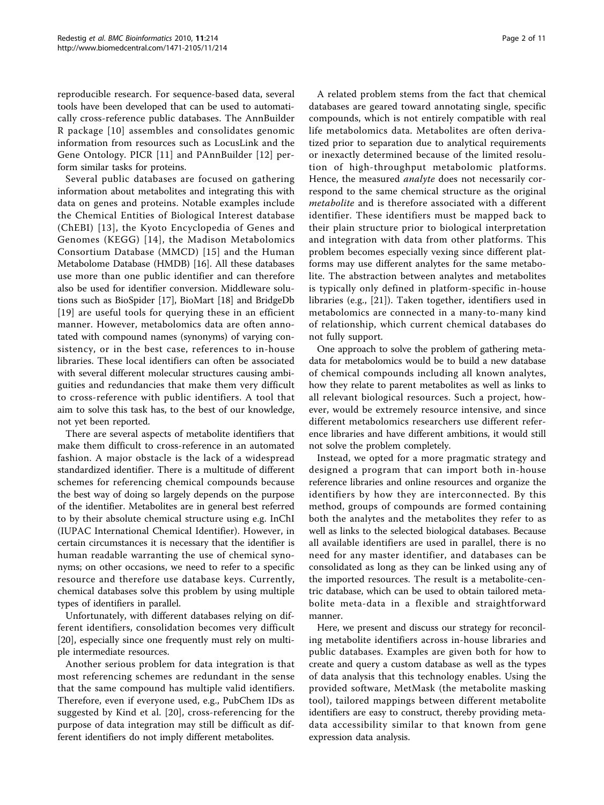reproducible research. For sequence-based data, several tools have been developed that can be used to automatically cross-reference public databases. The AnnBuilder R package [[10\]](#page-9-0) assembles and consolidates genomic information from resources such as LocusLink and the Gene Ontology. PICR [\[11\]](#page-9-0) and PAnnBuilder [[12](#page-9-0)] perform similar tasks for proteins.

Several public databases are focused on gathering information about metabolites and integrating this with data on genes and proteins. Notable examples include the Chemical Entities of Biological Interest database (ChEBI) [[13\]](#page-9-0), the Kyoto Encyclopedia of Genes and Genomes (KEGG) [[14](#page-9-0)], the Madison Metabolomics Consortium Database (MMCD) [\[15\]](#page-9-0) and the Human Metabolome Database (HMDB) [[16\]](#page-9-0). All these databases use more than one public identifier and can therefore also be used for identifier conversion. Middleware solutions such as BioSpider [\[17\]](#page-9-0), BioMart [[18](#page-9-0)] and BridgeDb [[19](#page-9-0)] are useful tools for querying these in an efficient manner. However, metabolomics data are often annotated with compound names (synonyms) of varying consistency, or in the best case, references to in-house libraries. These local identifiers can often be associated with several different molecular structures causing ambiguities and redundancies that make them very difficult to cross-reference with public identifiers. A tool that aim to solve this task has, to the best of our knowledge, not yet been reported.

There are several aspects of metabolite identifiers that make them difficult to cross-reference in an automated fashion. A major obstacle is the lack of a widespread standardized identifier. There is a multitude of different schemes for referencing chemical compounds because the best way of doing so largely depends on the purpose of the identifier. Metabolites are in general best referred to by their absolute chemical structure using e.g. InChI (IUPAC International Chemical Identifier). However, in certain circumstances it is necessary that the identifier is human readable warranting the use of chemical synonyms; on other occasions, we need to refer to a specific resource and therefore use database keys. Currently, chemical databases solve this problem by using multiple types of identifiers in parallel.

Unfortunately, with different databases relying on different identifiers, consolidation becomes very difficult [[20\]](#page-9-0), especially since one frequently must rely on multiple intermediate resources.

Another serious problem for data integration is that most referencing schemes are redundant in the sense that the same compound has multiple valid identifiers. Therefore, even if everyone used, e.g., PubChem IDs as suggested by Kind et al. [[20](#page-9-0)], cross-referencing for the purpose of data integration may still be difficult as different identifiers do not imply different metabolites.

A related problem stems from the fact that chemical databases are geared toward annotating single, specific compounds, which is not entirely compatible with real life metabolomics data. Metabolites are often derivatized prior to separation due to analytical requirements or inexactly determined because of the limited resolution of high-throughput metabolomic platforms. Hence, the measured *analyte* does not necessarily correspond to the same chemical structure as the original metabolite and is therefore associated with a different identifier. These identifiers must be mapped back to their plain structure prior to biological interpretation and integration with data from other platforms. This problem becomes especially vexing since different platforms may use different analytes for the same metabolite. The abstraction between analytes and metabolites is typically only defined in platform-specific in-house libraries (e.g., [[21\]](#page-9-0)). Taken together, identifiers used in metabolomics are connected in a many-to-many kind of relationship, which current chemical databases do not fully support.

One approach to solve the problem of gathering metadata for metabolomics would be to build a new database of chemical compounds including all known analytes, how they relate to parent metabolites as well as links to all relevant biological resources. Such a project, however, would be extremely resource intensive, and since different metabolomics researchers use different reference libraries and have different ambitions, it would still not solve the problem completely.

Instead, we opted for a more pragmatic strategy and designed a program that can import both in-house reference libraries and online resources and organize the identifiers by how they are interconnected. By this method, groups of compounds are formed containing both the analytes and the metabolites they refer to as well as links to the selected biological databases. Because all available identifiers are used in parallel, there is no need for any master identifier, and databases can be consolidated as long as they can be linked using any of the imported resources. The result is a metabolite-centric database, which can be used to obtain tailored metabolite meta-data in a flexible and straightforward manner.

Here, we present and discuss our strategy for reconciling metabolite identifiers across in-house libraries and public databases. Examples are given both for how to create and query a custom database as well as the types of data analysis that this technology enables. Using the provided software, MetMask (the metabolite masking tool), tailored mappings between different metabolite identifiers are easy to construct, thereby providing metadata accessibility similar to that known from gene expression data analysis.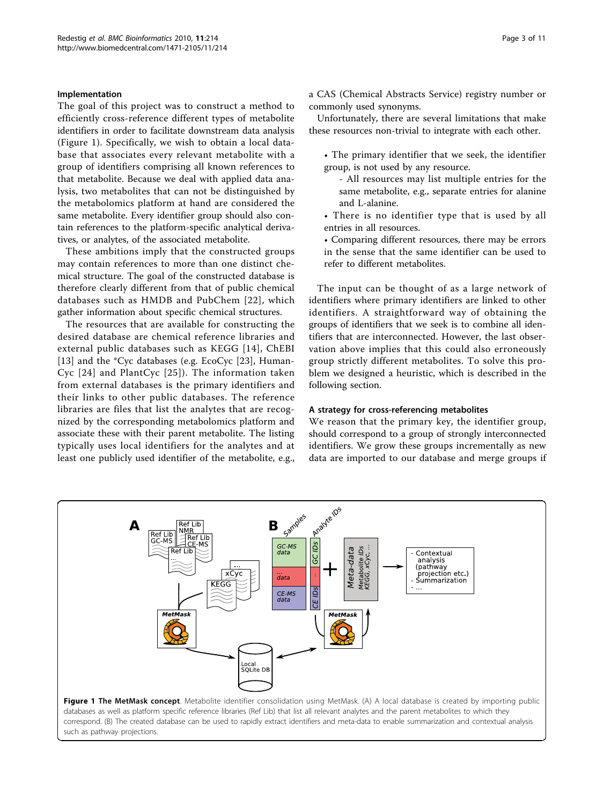#### Implementation

The goal of this project was to construct a method to efficiently cross-reference different types of metabolite identifiers in order to facilitate downstream data analysis (Figure 1). Specifically, we wish to obtain a local database that associates every relevant metabolite with a group of identifiers comprising all known references to that metabolite. Because we deal with applied data analysis, two metabolites that can not be distinguished by the metabolomics platform at hand are considered the same metabolite. Every identifier group should also contain references to the platform-specific analytical derivatives, or analytes, of the associated metabolite.

These ambitions imply that the constructed groups may contain references to more than one distinct chemical structure. The goal of the constructed database is therefore clearly different from that of public chemical databases such as HMDB and PubChem [[22\]](#page-9-0), which gather information about specific chemical structures.

The resources that are available for constructing the desired database are chemical reference libraries and external public databases such as KEGG [[14](#page-9-0)], ChEBI [[13](#page-9-0)] and the \*Cyc databases (e.g. EcoCyc [[23\]](#page-10-0), Human-Cyc [[24](#page-10-0)] and PlantCyc [[25\]](#page-10-0)). The information taken from external databases is the primary identifiers and their links to other public databases. The reference libraries are files that list the analytes that are recognized by the corresponding metabolomics platform and associate these with their parent metabolite. The listing typically uses local identifiers for the analytes and at least one publicly used identifier of the metabolite, e.g.,

Unfortunately, there are several limitations that make these resources non-trivial to integrate with each other.

• The primary identifier that we seek, the identifier group, is not used by any resource.

- All resources may list multiple entries for the same metabolite, e.g., separate entries for alanine and L-alanine.

• There is no identifier type that is used by all entries in all resources.

• Comparing different resources, there may be errors in the sense that the same identifier can be used to refer to different metabolites.

The input can be thought of as a large network of identifiers where primary identifiers are linked to other identifiers. A straightforward way of obtaining the groups of identifiers that we seek is to combine all identifiers that are interconnected. However, the last observation above implies that this could also erroneously group strictly different metabolites. To solve this problem we designed a heuristic, which is described in the following section.

#### A strategy for cross-referencing metabolites

We reason that the primary key, the identifier group, should correspond to a group of strongly interconnected identifiers. We grow these groups incrementally as new data are imported to our database and merge groups if

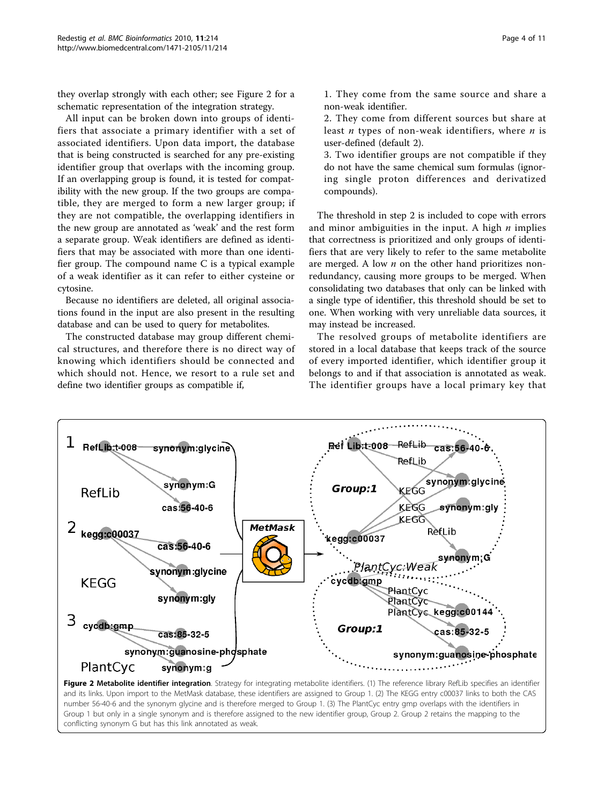<span id="page-3-0"></span>they overlap strongly with each other; see Figure 2 for a schematic representation of the integration strategy.

All input can be broken down into groups of identifiers that associate a primary identifier with a set of associated identifiers. Upon data import, the database that is being constructed is searched for any pre-existing identifier group that overlaps with the incoming group. If an overlapping group is found, it is tested for compatibility with the new group. If the two groups are compatible, they are merged to form a new larger group; if they are not compatible, the overlapping identifiers in the new group are annotated as 'weak' and the rest form a separate group. Weak identifiers are defined as identifiers that may be associated with more than one identifier group. The compound name C is a typical example of a weak identifier as it can refer to either cysteine or cytosine.

Because no identifiers are deleted, all original associations found in the input are also present in the resulting database and can be used to query for metabolites.

The constructed database may group different chemical structures, and therefore there is no direct way of knowing which identifiers should be connected and which should not. Hence, we resort to a rule set and define two identifier groups as compatible if,

2. They come from different sources but share at least  $n$  types of non-weak identifiers, where  $n$  is user-defined (default 2).

3. Two identifier groups are not compatible if they do not have the same chemical sum formulas (ignoring single proton differences and derivatized compounds).

The threshold in step 2 is included to cope with errors and minor ambiguities in the input. A high  $n$  implies that correctness is prioritized and only groups of identifiers that are very likely to refer to the same metabolite are merged. A low  $n$  on the other hand prioritizes nonredundancy, causing more groups to be merged. When consolidating two databases that only can be linked with a single type of identifier, this threshold should be set to one. When working with very unreliable data sources, it may instead be increased.

The resolved groups of metabolite identifiers are stored in a local database that keeps track of the source of every imported identifier, which identifier group it belongs to and if that association is annotated as weak. The identifier groups have a local primary key that



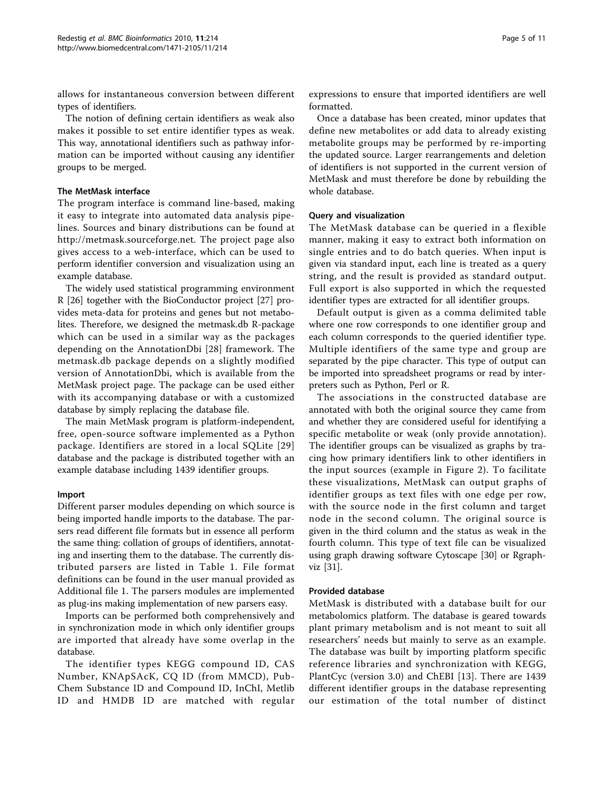allows for instantaneous conversion between different types of identifiers.

The notion of defining certain identifiers as weak also makes it possible to set entire identifier types as weak. This way, annotational identifiers such as pathway information can be imported without causing any identifier groups to be merged.

# The MetMask interface

The program interface is command line-based, making it easy to integrate into automated data analysis pipelines. Sources and binary distributions can be found at [http://metmask.sourceforge.net](http://www.genome.jp). The project page also gives access to a web-interface, which can be used to perform identifier conversion and visualization using an example database.

The widely used statistical programming environment R [\[26](#page-10-0)] together with the BioConductor project [[27](#page-10-0)] provides meta-data for proteins and genes but not metabolites. Therefore, we designed the metmask.db R-package which can be used in a similar way as the packages depending on the AnnotationDbi [[28\]](#page-10-0) framework. The metmask.db package depends on a slightly modified version of AnnotationDbi, which is available from the MetMask project page. The package can be used either with its accompanying database or with a customized database by simply replacing the database file.

The main MetMask program is platform-independent, free, open-source software implemented as a Python package. Identifiers are stored in a local SQLite [[29](#page-10-0)] database and the package is distributed together with an example database including 1439 identifier groups.

# Import

Different parser modules depending on which source is being imported handle imports to the database. The parsers read different file formats but in essence all perform the same thing: collation of groups of identifiers, annotating and inserting them to the database. The currently distributed parsers are listed in Table [1](#page-5-0). File format definitions can be found in the user manual provided as Additional file [1.](#page-9-0) The parsers modules are implemented as plug-ins making implementation of new parsers easy.

Imports can be performed both comprehensively and in synchronization mode in which only identifier groups are imported that already have some overlap in the database.

The identifier types KEGG compound ID, CAS Number, KNApSAcK, CQ ID (from MMCD), Pub-Chem Substance ID and Compound ID, InChI, Metlib ID and HMDB ID are matched with regular

expressions to ensure that imported identifiers are well formatted.

Once a database has been created, minor updates that define new metabolites or add data to already existing metabolite groups may be performed by re-importing the updated source. Larger rearrangements and deletion of identifiers is not supported in the current version of MetMask and must therefore be done by rebuilding the whole database.

# Query and visualization

The MetMask database can be queried in a flexible manner, making it easy to extract both information on single entries and to do batch queries. When input is given via standard input, each line is treated as a query string, and the result is provided as standard output. Full export is also supported in which the requested identifier types are extracted for all identifier groups.

Default output is given as a comma delimited table where one row corresponds to one identifier group and each column corresponds to the queried identifier type. Multiple identifiers of the same type and group are separated by the pipe character. This type of output can be imported into spreadsheet programs or read by interpreters such as Python, Perl or R.

The associations in the constructed database are annotated with both the original source they came from and whether they are considered useful for identifying a specific metabolite or weak (only provide annotation). The identifier groups can be visualized as graphs by tracing how primary identifiers link to other identifiers in the input sources (example in Figure [2](#page-3-0)). To facilitate these visualizations, MetMask can output graphs of identifier groups as text files with one edge per row, with the source node in the first column and target node in the second column. The original source is given in the third column and the status as weak in the fourth column. This type of text file can be visualized using graph drawing software Cytoscape [\[30](#page-10-0)] or Rgraphviz [[31](#page-10-0)].

#### Provided database

MetMask is distributed with a database built for our metabolomics platform. The database is geared towards plant primary metabolism and is not meant to suit all researchers' needs but mainly to serve as an example. The database was built by importing platform specific reference libraries and synchronization with KEGG, PlantCyc (version 3.0) and ChEBI [[13\]](#page-9-0). There are 1439 different identifier groups in the database representing our estimation of the total number of distinct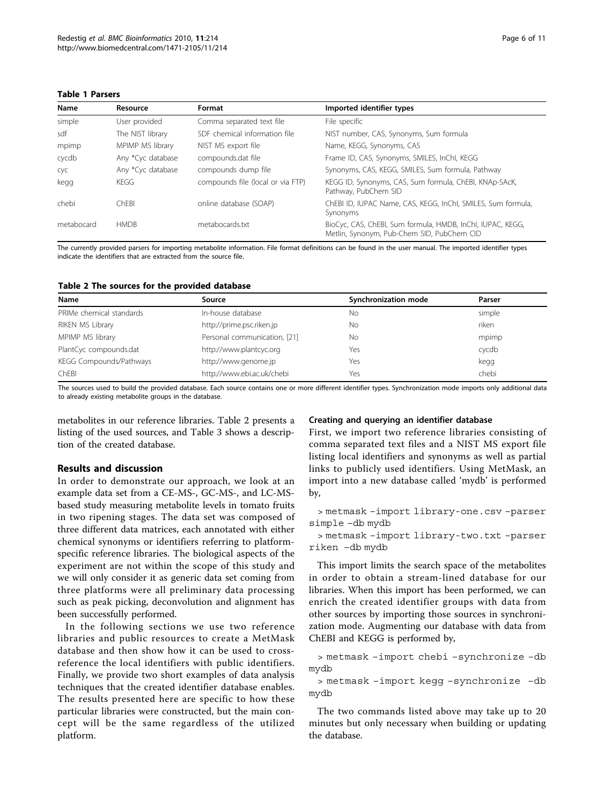## <span id="page-5-0"></span>Table 1 Parsers

| Name       | Resource          | Format                            | Imported identifier types                                                                                |
|------------|-------------------|-----------------------------------|----------------------------------------------------------------------------------------------------------|
| simple     | User provided     | Comma separated text file         | File specific                                                                                            |
| sdf        | The NIST library  | SDF chemical information file     | NIST number, CAS, Synonyms, Sum formula                                                                  |
| mpimp      | MPIMP MS library  | NIST MS export file               | Name, KEGG, Synonyms, CAS                                                                                |
| cycdb      | Any *Cyc database | compounds.dat file                | Frame ID, CAS, Synonyms, SMILES, InChI, KEGG                                                             |
| Cyc        | Any *Cyc database | compounds dump file               | Synonyms, CAS, KEGG, SMILES, Sum formula, Pathway                                                        |
| kegg       | KEGG              | compounds file (local or via FTP) | KEGG ID, Synonyms, CAS, Sum formula, ChEBI, KNAp-SAcK,<br>Pathway, PubChem SID                           |
| chebi      | ChFBI             | online database (SOAP)            | ChEBI ID, IUPAC Name, CAS, KEGG, InChI, SMILES, Sum formula,<br>Synonyms                                 |
| metabocard | <b>HMDB</b>       | metabocards.txt                   | BioCyc, CAS, ChEBI, Sum formula, HMDB, InChI, IUPAC, KEGG,<br>Metlin, Synonym, Pub-Chem SID, PubChem CID |

The currently provided parsers for importing metabolite information. File format definitions can be found in the user manual. The imported identifier types indicate the identifiers that are extracted from the source file.

|  |  |  |  |  |  | Table 2 The sources for the provided database |  |
|--|--|--|--|--|--|-----------------------------------------------|--|
|--|--|--|--|--|--|-----------------------------------------------|--|

| Name                     | Source                       | Synchronization mode | Parser |
|--------------------------|------------------------------|----------------------|--------|
| PRIMe chemical standards | In-house database            | Νo                   | simple |
| RIKEN MS Library         | http://prime.psc.riken.jp    | No                   | riken  |
| MPIMP MS library         | Personal communication, [21] | Νo                   | mpimp  |
| PlantCyc compounds.dat   | http://www.plantcyc.org      | Yes                  | cycdb  |
| KEGG Compounds/Pathways  | http://www.genome.jp         | Yes                  | kegg   |
| ChEBI                    | http://www.ebi.ac.uk/chebi   | Yes                  | chebi  |

The sources used to build the provided database. Each source contains one or more different identifier types. Synchronization mode imports only additional data to already existing metabolite groups in the database.

metabolites in our reference libraries. Table 2 presents a listing of the used sources, and Table [3](#page-6-0) shows a description of the created database.

# Results and discussion

In order to demonstrate our approach, we look at an example data set from a CE-MS-, GC-MS-, and LC-MSbased study measuring metabolite levels in tomato fruits in two ripening stages. The data set was composed of three different data matrices, each annotated with either chemical synonyms or identifiers referring to platformspecific reference libraries. The biological aspects of the experiment are not within the scope of this study and we will only consider it as generic data set coming from three platforms were all preliminary data processing such as peak picking, deconvolution and alignment has been successfully performed.

In the following sections we use two reference libraries and public resources to create a MetMask database and then show how it can be used to crossreference the local identifiers with public identifiers. Finally, we provide two short examples of data analysis techniques that the created identifier database enables. The results presented here are specific to how these particular libraries were constructed, but the main concept will be the same regardless of the utilized platform.

#### Creating and querying an identifier database

First, we import two reference libraries consisting of comma separated text files and a NIST MS export file listing local identifiers and synonyms as well as partial links to publicly used identifiers. Using MetMask, an import into a new database called 'mydb' is performed by,

> metmask –import library-one.csv –parser simple –db mydb

> metmask –import library-two.txt –parser riken –db mydb

This import limits the search space of the metabolites in order to obtain a stream-lined database for our libraries. When this import has been performed, we can enrich the created identifier groups with data from other sources by importing those sources in synchronization mode. Augmenting our database with data from ChEBI and KEGG is performed by,

> metmask –import chebi –synchronize –db mydb

> metmask –import kegg –synchronize –db mydb

The two commands listed above may take up to 20 minutes but only necessary when building or updating the database.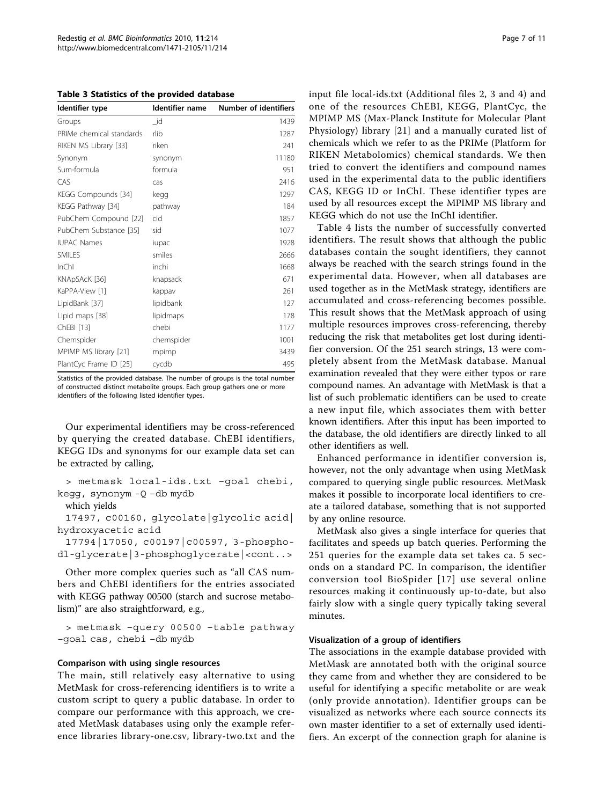<span id="page-6-0"></span>Table 3 Statistics of the provided database

| Identifier type          | Identifier name | <b>Number of identifiers</b> |  |  |
|--------------------------|-----------------|------------------------------|--|--|
| Groups                   | id.             | 1439                         |  |  |
| PRIMe chemical standards | rlib            | 1287                         |  |  |
| RIKEN MS Library [33]    | riken           | 241                          |  |  |
| Synonym                  | synonym         | 11180                        |  |  |
| Sum-formula              | formula         | 951                          |  |  |
| CAS                      | cas             | 2416                         |  |  |
| KEGG Compounds [34]      | kegg            | 1297                         |  |  |
| KEGG Pathway [34]        | pathway         | 184                          |  |  |
| PubChem Compound [22]    | cid             | 1857                         |  |  |
| PubChem Substance [35]   | sid             | 1077                         |  |  |
| <b>IUPAC Names</b>       | iupac           | 1928                         |  |  |
| <b>SMILES</b>            | smiles          | 2666                         |  |  |
| InChl                    | inchi           | 1668                         |  |  |
| KNApSAcK [36]            | knapsack        | 671                          |  |  |
| KaPPA-View [1]           | kappav          | 261                          |  |  |
| LipidBank [37]           | lipidbank       | 127                          |  |  |
| Lipid maps [38]          | lipidmaps       | 178                          |  |  |
| ChEBI [13]               | chebi           | 1177                         |  |  |
| Chemspider               | chemspider      | 1001                         |  |  |
| MPIMP MS library [21]    | mpimp           | 3439                         |  |  |
| PlantCyc Frame ID [25]   | cycdb           | 495                          |  |  |

Statistics of the provided database. The number of groups is the total number of constructed distinct metabolite groups. Each group gathers one or more identifiers of the following listed identifier types.

Our experimental identifiers may be cross-referenced by querying the created database. ChEBI identifiers, KEGG IDs and synonyms for our example data set can be extracted by calling,

> metmask local-ids.txt –goal chebi, kegg, synonym -Q –db mydb

which yields

17497, c00160, glycolate|glycolic acid| hydroxyacetic acid

17794|17050, c00197|c00597, 3-phosphodl-glycerate|3-phosphoglycerate|<cont..>

Other more complex queries such as "all CAS numbers and ChEBI identifiers for the entries associated with KEGG pathway 00500 (starch and sucrose metabolism)" are also straightforward, e.g.,

> metmask –query 00500 –table pathway –goal cas, chebi –db mydb

#### Comparison with using single resources

The main, still relatively easy alternative to using MetMask for cross-referencing identifiers is to write a custom script to query a public database. In order to compare our performance with this approach, we created MetMask databases using only the example reference libraries library-one.csv, library-two.txt and the input file local-ids.txt (Additional files [2, 3](#page-9-0) and [4](#page-9-0)) and one of the resources ChEBI, KEGG, PlantCyc, the MPIMP MS (Max-Planck Institute for Molecular Plant Physiology) library [[21\]](#page-9-0) and a manually curated list of chemicals which we refer to as the PRIMe (Platform for RIKEN Metabolomics) chemical standards. We then tried to convert the identifiers and compound names used in the experimental data to the public identifiers CAS, KEGG ID or InChI. These identifier types are used by all resources except the MPIMP MS library and KEGG which do not use the InChI identifier.

Table [4](#page-7-0) lists the number of successfully converted identifiers. The result shows that although the public databases contain the sought identifiers, they cannot always be reached with the search strings found in the experimental data. However, when all databases are used together as in the MetMask strategy, identifiers are accumulated and cross-referencing becomes possible. This result shows that the MetMask approach of using multiple resources improves cross-referencing, thereby reducing the risk that metabolites get lost during identifier conversion. Of the 251 search strings, 13 were completely absent from the MetMask database. Manual examination revealed that they were either typos or rare compound names. An advantage with MetMask is that a list of such problematic identifiers can be used to create a new input file, which associates them with better known identifiers. After this input has been imported to the database, the old identifiers are directly linked to all other identifiers as well.

Enhanced performance in identifier conversion is, however, not the only advantage when using MetMask compared to querying single public resources. MetMask makes it possible to incorporate local identifiers to create a tailored database, something that is not supported by any online resource.

MetMask also gives a single interface for queries that facilitates and speeds up batch queries. Performing the 251 queries for the example data set takes ca. 5 seconds on a standard PC. In comparison, the identifier conversion tool BioSpider [[17](#page-9-0)] use several online resources making it continuously up-to-date, but also fairly slow with a single query typically taking several minutes.

#### Visualization of a group of identifiers

The associations in the example database provided with MetMask are annotated both with the original source they came from and whether they are considered to be useful for identifying a specific metabolite or are weak (only provide annotation). Identifier groups can be visualized as networks where each source connects its own master identifier to a set of externally used identifiers. An excerpt of the connection graph for alanine is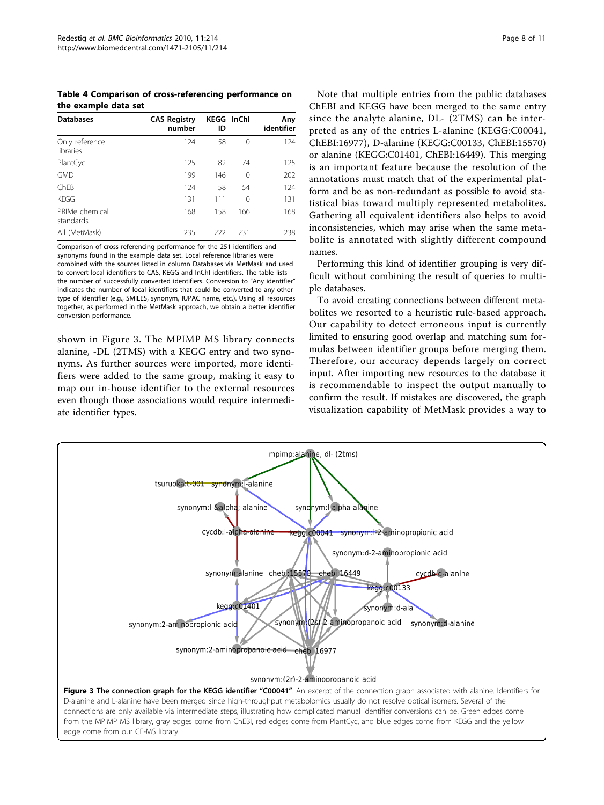<span id="page-7-0"></span>Table 4 Comparison of cross-referencing performance on the example data set

| <b>Databases</b>            | <b>CAS Registry</b><br>number | <b>KEGG</b> InChI<br>ID |     | Any<br>identifier |
|-----------------------------|-------------------------------|-------------------------|-----|-------------------|
| Only reference<br>libraries | 124                           | 58                      | 0   | 124               |
| PlantCyc                    | 125                           | 82                      | 74  | 125               |
| GMD                         | 199                           | 146                     | 0   | 202               |
| ChEBI                       | 124                           | 58                      | 54  | 124               |
| KFGG                        | 131                           | 111                     | 0   | 131               |
| PRIMe chemical<br>standards | 168                           | 158                     | 166 | 168               |
| All (MetMask)               | 235                           | 222                     | 231 | 238               |

Comparison of cross-referencing performance for the 251 identifiers and synonyms found in the example data set. Local reference libraries were combined with the sources listed in column Databases via MetMask and used to convert local identifiers to CAS, KEGG and InChI identifiers. The table lists the number of successfully converted identifiers. Conversion to "Any identifier" indicates the number of local identifiers that could be converted to any other type of identifier (e.g., SMILES, synonym, IUPAC name, etc.). Using all resources together, as performed in the MetMask approach, we obtain a better identifier conversion performance.

shown in Figure 3. The MPIMP MS library connects alanine, -DL (2TMS) with a KEGG entry and two synonyms. As further sources were imported, more identifiers were added to the same group, making it easy to map our in-house identifier to the external resources even though those associations would require intermediate identifier types.

Note that multiple entries from the public databases ChEBI and KEGG have been merged to the same entry since the analyte alanine, DL- (2TMS) can be interpreted as any of the entries L-alanine (KEGG:C00041, ChEBI:16977), D-alanine (KEGG:C00133, ChEBI:15570) or alanine (KEGG:C01401, ChEBI:16449). This merging is an important feature because the resolution of the annotations must match that of the experimental platform and be as non-redundant as possible to avoid statistical bias toward multiply represented metabolites. Gathering all equivalent identifiers also helps to avoid inconsistencies, which may arise when the same metabolite is annotated with slightly different compound names.

Performing this kind of identifier grouping is very difficult without combining the result of queries to multiple databases.

To avoid creating connections between different metabolites we resorted to a heuristic rule-based approach. Our capability to detect erroneous input is currently limited to ensuring good overlap and matching sum formulas between identifier groups before merging them. Therefore, our accuracy depends largely on correct input. After importing new resources to the database it is recommendable to inspect the output manually to confirm the result. If mistakes are discovered, the graph visualization capability of MetMask provides a way to

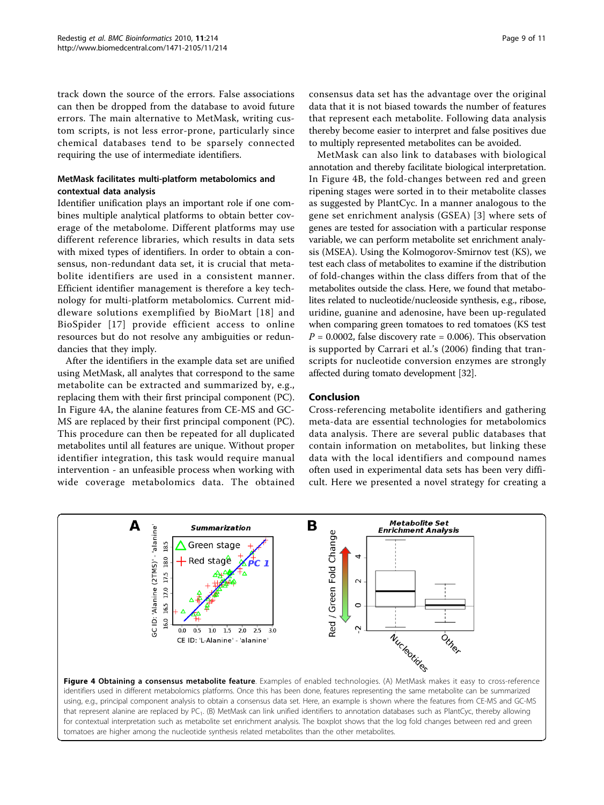track down the source of the errors. False associations can then be dropped from the database to avoid future errors. The main alternative to MetMask, writing custom scripts, is not less error-prone, particularly since chemical databases tend to be sparsely connected requiring the use of intermediate identifiers.

# MetMask facilitates multi-platform metabolomics and contextual data analysis

Identifier unification plays an important role if one combines multiple analytical platforms to obtain better coverage of the metabolome. Different platforms may use different reference libraries, which results in data sets with mixed types of identifiers. In order to obtain a consensus, non-redundant data set, it is crucial that metabolite identifiers are used in a consistent manner. Efficient identifier management is therefore a key technology for multi-platform metabolomics. Current middleware solutions exemplified by BioMart [[18\]](#page-9-0) and BioSpider [[17\]](#page-9-0) provide efficient access to online resources but do not resolve any ambiguities or redundancies that they imply.

After the identifiers in the example data set are unified using MetMask, all analytes that correspond to the same metabolite can be extracted and summarized by, e.g., replacing them with their first principal component (PC). In Figure 4A, the alanine features from CE-MS and GC-MS are replaced by their first principal component (PC). This procedure can then be repeated for all duplicated metabolites until all features are unique. Without proper identifier integration, this task would require manual intervention - an unfeasible process when working with wide coverage metabolomics data. The obtained consensus data set has the advantage over the original data that it is not biased towards the number of features that represent each metabolite. Following data analysis thereby become easier to interpret and false positives due to multiply represented metabolites can be avoided.

MetMask can also link to databases with biological annotation and thereby facilitate biological interpretation. In Figure 4B, the fold-changes between red and green ripening stages were sorted in to their metabolite classes as suggested by PlantCyc. In a manner analogous to the gene set enrichment analysis (GSEA) [[3\]](#page-9-0) where sets of genes are tested for association with a particular response variable, we can perform metabolite set enrichment analysis (MSEA). Using the Kolmogorov-Smirnov test (KS), we test each class of metabolites to examine if the distribution of fold-changes within the class differs from that of the metabolites outside the class. Here, we found that metabolites related to nucleotide/nucleoside synthesis, e.g., ribose, uridine, guanine and adenosine, have been up-regulated when comparing green tomatoes to red tomatoes (KS test  $P = 0.0002$ , false discovery rate = 0.006). This observation is supported by Carrari et al.'s (2006) finding that transcripts for nucleotide conversion enzymes are strongly affected during tomato development [\[32\]](#page-10-0).

# Conclusion

Cross-referencing metabolite identifiers and gathering meta-data are essential technologies for metabolomics data analysis. There are several public databases that contain information on metabolites, but linking these data with the local identifiers and compound names often used in experimental data sets has been very difficult. Here we presented a novel strategy for creating a



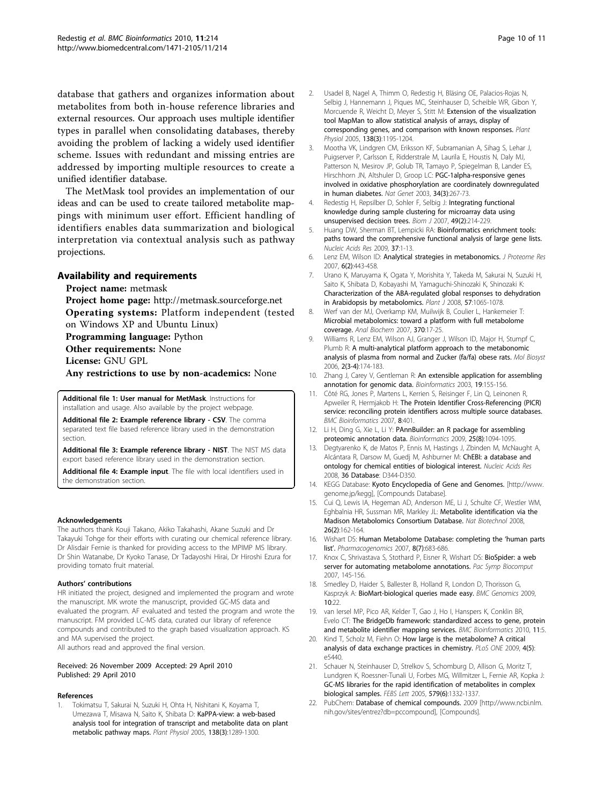<span id="page-9-0"></span>database that gathers and organizes information about metabolites from both in-house reference libraries and external resources. Our approach uses multiple identifier types in parallel when consolidating databases, thereby avoiding the problem of lacking a widely used identifier scheme. Issues with redundant and missing entries are addressed by importing multiple resources to create a unified identifier database.

The MetMask tool provides an implementation of our ideas and can be used to create tailored metabolite mappings with minimum user effort. Efficient handling of identifiers enables data summarization and biological interpretation via contextual analysis such as pathway projections.

# Availability and requirements

Project name: metmask

Project home page: [http://metmask.sourceforge.net](http://www.ebi.ac.uk/chebi) Operating systems: Platform independent (tested on Windows XP and Ubuntu Linux) Programming language: Python Other requirements: None License: GNU GPL

Any restrictions to use by non-academics: None

[Additional file 1: U](http://www.biomedcentral.com/content/supplementary/1471-2105-11-214-S1.PDF)ser manual for MetMask. Instructions for installation and usage. Also available by the project webpage.

[Additional file 2: E](http://www.biomedcentral.com/content/supplementary/1471-2105-11-214-S2.CSV)xample reference library - CSV. The comma separated text file based reference library used in the demonstration section.

[Additional file 3: E](http://www.biomedcentral.com/content/supplementary/1471-2105-11-214-S3.TXT)xample reference library - NIST. The NIST MS data export based reference library used in the demonstration section.

[Additional file 4: E](http://www.biomedcentral.com/content/supplementary/1471-2105-11-214-S4.TXT)xample input. The file with local identifiers used in the demonstration section.

#### Acknowledgements

The authors thank Kouji Takano, Akiko Takahashi, Akane Suzuki and Dr Takayuki Tohge for their efforts with curating our chemical reference library. Dr Alisdair Fernie is thanked for providing access to the MPIMP MS library. Dr Shin Watanabe, Dr Kyoko Tanase, Dr Tadayoshi Hirai, Dr Hiroshi Ezura for providing tomato fruit material.

#### Authors' contributions

HR initiated the project, designed and implemented the program and wrote the manuscript. MK wrote the manuscript, provided GC-MS data and evaluated the program. AF evaluated and tested the program and wrote the manuscript. FM provided LC-MS data, curated our library of reference compounds and contributed to the graph based visualization approach. KS and MA supervised the project.

All authors read and approved the final version.

#### Received: 26 November 2009 Accepted: 29 April 2010 Published: 29 April 2010

#### References

1. Tokimatsu T, Sakurai N, Suzuki H, Ohta H, Nishitani K, Koyama T, Umezawa T, Misawa N, Saito K, Shibata D: [KaPPA-view: a web-based](http://www.ncbi.nlm.nih.gov/pubmed/16010003?dopt=Abstract) [analysis tool for integration of transcript and metabolite data on plant](http://www.ncbi.nlm.nih.gov/pubmed/16010003?dopt=Abstract) [metabolic pathway maps.](http://www.ncbi.nlm.nih.gov/pubmed/16010003?dopt=Abstract) Plant Physiol 2005, 138(3):1289-1300.

- 2. Usadel B, Nagel A, Thimm O, Redestig H, Bläsing OE, Palacios-Rojas N, Selbig J, Hannemann J, Piques MC, Steinhauser D, Scheible WR, Gibon Y, Morcuende R, Weicht D, Meyer S, Stitt M: [Extension of the visualization](http://www.ncbi.nlm.nih.gov/pubmed/16009995?dopt=Abstract) [tool MapMan to allow statistical analysis of arrays, display of](http://www.ncbi.nlm.nih.gov/pubmed/16009995?dopt=Abstract) [corresponding genes, and comparison with known responses.](http://www.ncbi.nlm.nih.gov/pubmed/16009995?dopt=Abstract) Plant Physiol 2005, 138(3):1195-1204.
- 3. Mootha VK, Lindgren CM, Eriksson KF, Subramanian A, Sihag S, Lehar J, Puigserver P, Carlsson E, Ridderstrale M, Laurila E, Houstis N, Daly MJ, Patterson N, Mesirov JP, Golub TR, Tamayo P, Spiegelman B, Lander ES, Hirschhorn JN, Altshuler D, Groop LC: [PGC-1alpha-responsive genes](http://www.ncbi.nlm.nih.gov/pubmed/12808457?dopt=Abstract) [involved in oxidative phosphorylation are coordinately downregulated](http://www.ncbi.nlm.nih.gov/pubmed/12808457?dopt=Abstract) [in human diabetes.](http://www.ncbi.nlm.nih.gov/pubmed/12808457?dopt=Abstract) Nat Genet 2003, 34(3):267-73.
- 4. Redestig H, Repsilber D, Sohler F, Selbig J: [Integrating functional](http://www.ncbi.nlm.nih.gov/pubmed/17476945?dopt=Abstract) [knowledge during sample clustering for microarray data using](http://www.ncbi.nlm.nih.gov/pubmed/17476945?dopt=Abstract) [unsupervised decision trees.](http://www.ncbi.nlm.nih.gov/pubmed/17476945?dopt=Abstract) Biom J 2007, 49(2):214-229.
- 5. Huang DW, Sherman BT, Lempicki RA: [Bioinformatics enrichment tools:](http://www.ncbi.nlm.nih.gov/pubmed/19033363?dopt=Abstract) [paths toward the comprehensive functional analysis of large gene lists.](http://www.ncbi.nlm.nih.gov/pubmed/19033363?dopt=Abstract) Nucleic Acids Res 2009, 37:1-13.
- 6. Lenz EM, Wilson ID: [Analytical strategies in metabonomics.](http://www.ncbi.nlm.nih.gov/pubmed/17269702?dopt=Abstract) J Proteome Res 2007, 6(2):443-458.
- 7. Urano K, Maruyama K, Ogata Y, Morishita Y, Takeda M, Sakurai N, Suzuki H, Saito K, Shibata D, Kobayashi M, Yamaguchi-Shinozaki K, Shinozaki K: [Characterization of the ABA-regulated global responses to dehydration](http://www.ncbi.nlm.nih.gov/pubmed/19036030?dopt=Abstract) [in Arabidopsis by metabolomics.](http://www.ncbi.nlm.nih.gov/pubmed/19036030?dopt=Abstract) Plant J 2008, 57:1065-1078.
- 8. Werf van der MJ, Overkamp KM, Muilwijk B, Coulier L, Hankemeier T: [Microbial metabolomics: toward a platform with full metabolome](http://www.ncbi.nlm.nih.gov/pubmed/17765195?dopt=Abstract) [coverage.](http://www.ncbi.nlm.nih.gov/pubmed/17765195?dopt=Abstract) Anal Biochem 2007, 370:17-25.
- 9. Williams R, Lenz EM, Wilson AJ, Granger J, Wilson ID, Major H, Stumpf C, Plumb R: [A multi-analytical platform approach to the metabonomic](http://www.ncbi.nlm.nih.gov/pubmed/16880935?dopt=Abstract) [analysis of plasma from normal and Zucker \(fa/fa\) obese rats.](http://www.ncbi.nlm.nih.gov/pubmed/16880935?dopt=Abstract) Mol Biosyst 2006, 2(3-4):174-183.
- 10. Zhang J, Carey V, Gentleman R: [An extensible application for assembling](http://www.ncbi.nlm.nih.gov/pubmed/12499308?dopt=Abstract) [annotation for genomic data.](http://www.ncbi.nlm.nih.gov/pubmed/12499308?dopt=Abstract) Bioinformatics 2003, 19:155-156.
- 11. Côté RG, Jones P, Martens L, Kerrien S, Reisinger F, Lin Q, Leinonen R, Apweiler R, Hermjakob H: [The Protein Identifier Cross-Referencing \(PICR\)](http://www.ncbi.nlm.nih.gov/pubmed/17945017?dopt=Abstract) [service: reconciling protein identifiers across multiple source databases.](http://www.ncbi.nlm.nih.gov/pubmed/17945017?dopt=Abstract) BMC Bioinformatics 2007, 8:401.
- 12. Li H, Ding G, Xie L, Li Y: [PAnnBuilder: an R package for assembling](http://www.ncbi.nlm.nih.gov/pubmed/19237448?dopt=Abstract) [proteomic annotation data.](http://www.ncbi.nlm.nih.gov/pubmed/19237448?dopt=Abstract) Bioinformatics 2009, 25(8):1094-1095
- 13. Degtyarenko K, de Matos P, Ennis M, Hastings J, Zbinden M, McNaught A, Alcántara R, Darsow M, Guedj M, Ashburner M: [ChEBI: a database and](http://www.ncbi.nlm.nih.gov/pubmed/17932057?dopt=Abstract) [ontology for chemical entities of biological interest.](http://www.ncbi.nlm.nih.gov/pubmed/17932057?dopt=Abstract) Nucleic Acids Res 2008, 36 Database: D344-D350.
- 14. KEGG Database: Kyoto Encyclopedia of Gene and Genomes. [[http://www.](http://www.genome.jp/kegg) [genome.jp/kegg\]](http://www.genome.jp/kegg), [Compounds Database].
- 15. Cui Q, Lewis IA, Hegeman AD, Anderson ME, Li J, Schulte CF, Westler WM, Eghbalnia HR, Sussman MR, Markley JL: [Metabolite identification via the](http://www.ncbi.nlm.nih.gov/pubmed/18259166?dopt=Abstract) [Madison Metabolomics Consortium Database.](http://www.ncbi.nlm.nih.gov/pubmed/18259166?dopt=Abstract) Nat Biotechnol 2008, 26(2):162-164.
- 16. Wishart DS: [Human Metabolome Database: completing the](http://www.ncbi.nlm.nih.gov/pubmed/18240899?dopt=Abstract) 'human parts [list](http://www.ncbi.nlm.nih.gov/pubmed/18240899?dopt=Abstract)'. Pharmacogenomics 2007, 8(7):683-686.
- 17. Knox C, Shrivastava S, Stothard P, Eisner R, Wishart DS: [BioSpider: a web](http://www.ncbi.nlm.nih.gov/pubmed/17990488?dopt=Abstract) [server for automating metabolome annotations.](http://www.ncbi.nlm.nih.gov/pubmed/17990488?dopt=Abstract) Pac Symp Biocomput 2007, 145-156.
- 18. Smedley D, Haider S, Ballester B, Holland R, London D, Thorisson G, Kasprzyk A: [BioMart-biological queries made easy.](http://www.ncbi.nlm.nih.gov/pubmed/19144180?dopt=Abstract) BMC Genomics 2009, 10:22.
- 19. van Iersel MP, Pico AR, Kelder T, Gao J, Ho I, Hanspers K, Conklin BR, Evelo CT: [The BridgeDb framework: standardized access to gene, protein](http://www.ncbi.nlm.nih.gov/pubmed/20047655?dopt=Abstract) [and metabolite identifier mapping services.](http://www.ncbi.nlm.nih.gov/pubmed/20047655?dopt=Abstract) BMC Bioinformatics 2010, 11:5.
- 20. Kind T, Scholz M, Fiehn O: [How large is the metabolome? A critical](http://www.ncbi.nlm.nih.gov/pubmed/19415114?dopt=Abstract) [analysis of data exchange practices in chemistry.](http://www.ncbi.nlm.nih.gov/pubmed/19415114?dopt=Abstract) PLoS ONE 2009, 4(5): e5440.
- 21. Schauer N, Steinhauser D, Strelkov S, Schomburg D, Allison G, Moritz T, Lundgren K, Roessner-Tunali U, Forbes MG, Willmitzer L, Fernie AR, Kopka J: [GC-MS libraries for the rapid identification of metabolites in complex](http://www.ncbi.nlm.nih.gov/pubmed/15733837?dopt=Abstract) [biological samples.](http://www.ncbi.nlm.nih.gov/pubmed/15733837?dopt=Abstract) FEBS Lett 2005, 579(6):1332-1337.
- 22. PubChem: Database of chemical compounds. 2009 [\[http://www.ncbi.nlm.](http://www.ncbi.nlm.nih.gov/sites/entrez?db=pccompound) [nih.gov/sites/entrez?db=pccompound](http://www.ncbi.nlm.nih.gov/sites/entrez?db=pccompound)], [Compounds].